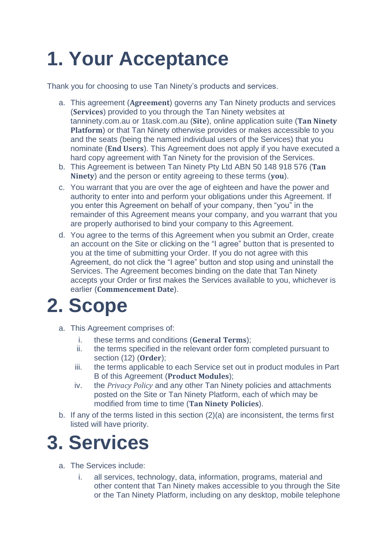# **1. Your Acceptance**

Thank you for choosing to use Tan Ninety's products and services.

- a. This agreement (**Agreement**) governs any Tan Ninety products and services (**Services**) provided to you through the Tan Ninety websites at tanninety.com.au or 1task.com.au (**Site**), online application suite (**Tan Ninety Platform**) or that Tan Ninety otherwise provides or makes accessible to you and the seats (being the named individual users of the Services) that you nominate (**End Users**). This Agreement does not apply if you have executed a hard copy agreement with Tan Ninety for the provision of the Services.
- b. This Agreement is between Tan Ninety Pty Ltd ABN 50 148 918 576 (**Tan Ninety**) and the person or entity agreeing to these terms (**you**).
- c. You warrant that you are over the age of eighteen and have the power and authority to enter into and perform your obligations under this Agreement. If you enter this Agreement on behalf of your company, then "you" in the remainder of this Agreement means your company, and you warrant that you are properly authorised to bind your company to this Agreement.
- d. You agree to the terms of this Agreement when you submit an Order, create an account on the Site or clicking on the "I agree" button that is presented to you at the time of submitting your Order. If you do not agree with this Agreement, do not click the "I agree" button and stop using and uninstall the Services. The Agreement becomes binding on the date that Tan Ninety accepts your Order or first makes the Services available to you, whichever is earlier (**Commencement Date**).

## **2. Scope**

- a. This Agreement comprises of:
	- i. these terms and conditions (**General Terms**);
	- ii. the terms specified in the relevant order form completed pursuant to section (12) (**Order**);
	- iii. the terms applicable to each Service set out in product modules in Part B of this Agreement (**Product Modules**);
	- iv. the *Privacy Policy* and any other Tan Ninety policies and attachments posted on the Site or Tan Ninety Platform, each of which may be modified from time to time (**Tan Ninety Policies**).
- b. If any of the terms listed in this section (2)(a) are inconsistent, the terms first listed will have priority.

#### **3. Services**

- a. The Services include:
	- i. all services, technology, data, information, programs, material and other content that Tan Ninety makes accessible to you through the Site or the Tan Ninety Platform, including on any desktop, mobile telephone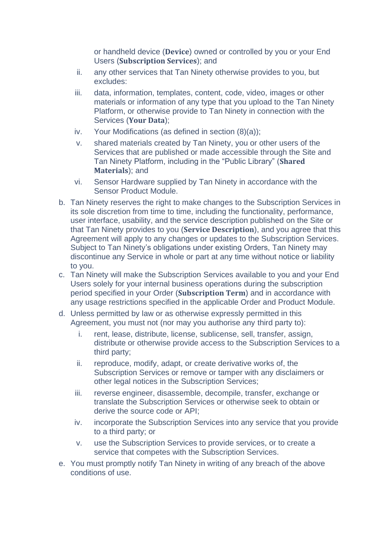or handheld device (**Device**) owned or controlled by you or your End Users (**Subscription Services**); and

- ii. any other services that Tan Ninety otherwise provides to you, but excludes:
- iii. data, information, templates, content, code, video, images or other materials or information of any type that you upload to the Tan Ninety Platform, or otherwise provide to Tan Ninety in connection with the Services (**Your Data**);
- iv. Your Modifications (as defined in section (8)(a));
- v. shared materials created by Tan Ninety, you or other users of the Services that are published or made accessible through the Site and Tan Ninety Platform, including in the "Public Library" (**Shared Materials**); and
- vi. Sensor Hardware supplied by Tan Ninety in accordance with the Sensor Product Module.
- b. Tan Ninety reserves the right to make changes to the Subscription Services in its sole discretion from time to time, including the functionality, performance, user interface, usability, and the service description published on the Site or that Tan Ninety provides to you (**Service Description**), and you agree that this Agreement will apply to any changes or updates to the Subscription Services. Subject to Tan Ninety's obligations under existing Orders, Tan Ninety may discontinue any Service in whole or part at any time without notice or liability to you.
- c. Tan Ninety will make the Subscription Services available to you and your End Users solely for your internal business operations during the subscription period specified in your Order (**Subscription Term**) and in accordance with any usage restrictions specified in the applicable Order and Product Module.
- d. Unless permitted by law or as otherwise expressly permitted in this Agreement, you must not (nor may you authorise any third party to):
	- i. rent, lease, distribute, license, sublicense, sell, transfer, assign, distribute or otherwise provide access to the Subscription Services to a third party;
	- ii. reproduce, modify, adapt, or create derivative works of, the Subscription Services or remove or tamper with any disclaimers or other legal notices in the Subscription Services;
	- iii. reverse engineer, disassemble, decompile, transfer, exchange or translate the Subscription Services or otherwise seek to obtain or derive the source code or API;
	- iv. incorporate the Subscription Services into any service that you provide to a third party; or
	- v. use the Subscription Services to provide services, or to create a service that competes with the Subscription Services.
- e. You must promptly notify Tan Ninety in writing of any breach of the above conditions of use.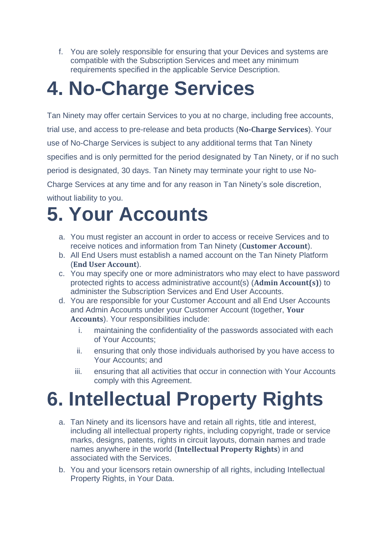f. You are solely responsible for ensuring that your Devices and systems are compatible with the Subscription Services and meet any minimum requirements specified in the applicable Service Description.

# **4. No-Charge Services**

Tan Ninety may offer certain Services to you at no charge, including free accounts, trial use, and access to pre-release and beta products (**No-Charge Services**). Your use of No-Charge Services is subject to any additional terms that Tan Ninety specifies and is only permitted for the period designated by Tan Ninety, or if no such period is designated, 30 days. Tan Ninety may terminate your right to use No-Charge Services at any time and for any reason in Tan Ninety's sole discretion, without liability to you.

# **5. Your Accounts**

- a. You must register an account in order to access or receive Services and to receive notices and information from Tan Ninety (**Customer Account**).
- b. All End Users must establish a named account on the Tan Ninety Platform (**End User Account**).
- c. You may specify one or more administrators who may elect to have password protected rights to access administrative account(s) (**Admin Account(s)**) to administer the Subscription Services and End User Accounts.
- d. You are responsible for your Customer Account and all End User Accounts and Admin Accounts under your Customer Account (together, **Your Accounts**). Your responsibilities include:
	- i. maintaining the confidentiality of the passwords associated with each of Your Accounts;
	- ii. ensuring that only those individuals authorised by you have access to Your Accounts; and
	- iii. ensuring that all activities that occur in connection with Your Accounts comply with this Agreement.

# **6. Intellectual Property Rights**

- a. Tan Ninety and its licensors have and retain all rights, title and interest, including all intellectual property rights, including copyright, trade or service marks, designs, patents, rights in circuit layouts, domain names and trade names anywhere in the world (**Intellectual Property Rights**) in and associated with the Services.
- b. You and your licensors retain ownership of all rights, including Intellectual Property Rights, in Your Data.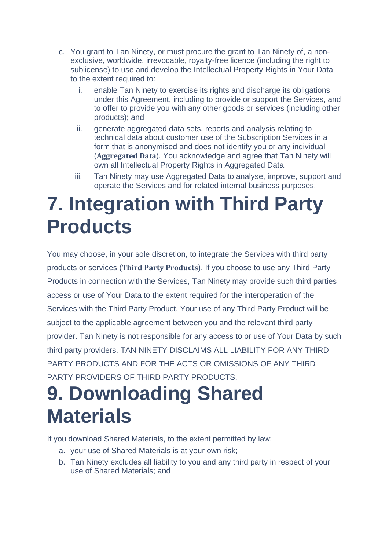- c. You grant to Tan Ninety, or must procure the grant to Tan Ninety of, a nonexclusive, worldwide, irrevocable, royalty-free licence (including the right to sublicense) to use and develop the Intellectual Property Rights in Your Data to the extent required to:
	- i. enable Tan Ninety to exercise its rights and discharge its obligations under this Agreement, including to provide or support the Services, and to offer to provide you with any other goods or services (including other products); and
	- ii. generate aggregated data sets, reports and analysis relating to technical data about customer use of the Subscription Services in a form that is anonymised and does not identify you or any individual (**Aggregated Data**). You acknowledge and agree that Tan Ninety will own all Intellectual Property Rights in Aggregated Data.
	- iii. Tan Ninety may use Aggregated Data to analyse, improve, support and operate the Services and for related internal business purposes.

### **7. Integration with Third Party Products**

You may choose, in your sole discretion, to integrate the Services with third party products or services (**Third Party Products**). If you choose to use any Third Party Products in connection with the Services, Tan Ninety may provide such third parties access or use of Your Data to the extent required for the interoperation of the Services with the Third Party Product. Your use of any Third Party Product will be subject to the applicable agreement between you and the relevant third party provider. Tan Ninety is not responsible for any access to or use of Your Data by such third party providers. TAN NINETY DISCLAIMS ALL LIABILITY FOR ANY THIRD PARTY PRODUCTS AND FOR THE ACTS OR OMISSIONS OF ANY THIRD PARTY PROVIDERS OF THIRD PARTY PRODUCTS.

## **9. Downloading Shared Materials**

If you download Shared Materials, to the extent permitted by law:

- a. your use of Shared Materials is at your own risk;
- b. Tan Ninety excludes all liability to you and any third party in respect of your use of Shared Materials; and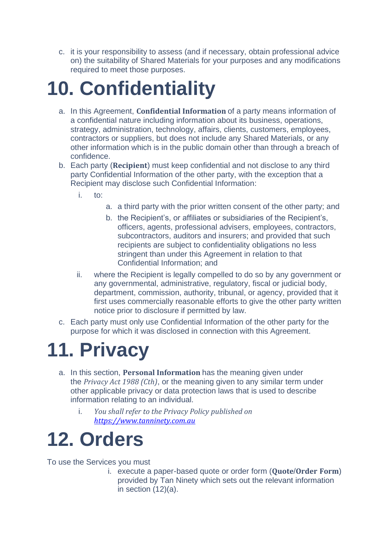c. it is your responsibility to assess (and if necessary, obtain professional advice on) the suitability of Shared Materials for your purposes and any modifications required to meet those purposes.

# **10. Confidentiality**

- a. In this Agreement, **Confidential Information** of a party means information of a confidential nature including information about its business, operations, strategy, administration, technology, affairs, clients, customers, employees, contractors or suppliers, but does not include any Shared Materials, or any other information which is in the public domain other than through a breach of confidence.
- b. Each party (**Recipient**) must keep confidential and not disclose to any third party Confidential Information of the other party, with the exception that a Recipient may disclose such Confidential Information:
	- i. to:
		- a. a third party with the prior written consent of the other party; and
		- b. the Recipient's, or affiliates or subsidiaries of the Recipient's, officers, agents, professional advisers, employees, contractors, subcontractors, auditors and insurers; and provided that such recipients are subject to confidentiality obligations no less stringent than under this Agreement in relation to that Confidential Information; and
	- ii. where the Recipient is legally compelled to do so by any government or any governmental, administrative, regulatory, fiscal or judicial body, department, commission, authority, tribunal, or agency, provided that it first uses commercially reasonable efforts to give the other party written notice prior to disclosure if permitted by law.
- c. Each party must only use Confidential Information of the other party for the purpose for which it was disclosed in connection with this Agreement.

## **11. Privacy**

- a. In this section, **Personal Information** has the meaning given under the *Privacy Act 1988 (Cth)*, or the meaning given to any similar term under other applicable privacy or data protection laws that is used to describe information relating to an individual.
	- i. *You shall refer to the Privacy Policy published on [https://www.tanninety.com.au](https://www.tanninety.com.au/)*

### **12. Orders**

To use the Services you must

i. execute a paper-based quote or order form (**Quote**/**Order Form**) provided by Tan Ninety which sets out the relevant information in section (12)(a).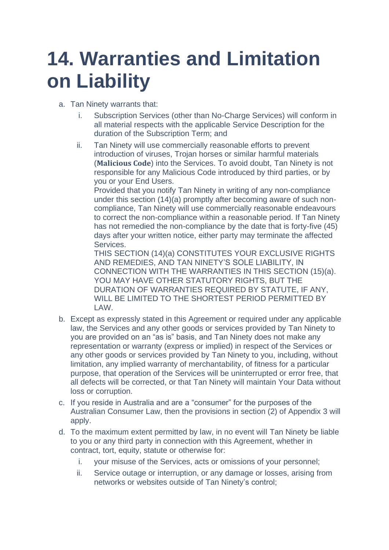# **14. Warranties and Limitation on Liability**

- a. Tan Ninety warrants that:
	- i. Subscription Services (other than No-Charge Services) will conform in all material respects with the applicable Service Description for the duration of the Subscription Term; and
	- ii. Tan Ninety will use commercially reasonable efforts to prevent introduction of viruses, Trojan horses or similar harmful materials (**Malicious Code**) into the Services. To avoid doubt, Tan Ninety is not responsible for any Malicious Code introduced by third parties, or by you or your End Users.

Provided that you notify Tan Ninety in writing of any non-compliance under this section (14)(a) promptly after becoming aware of such noncompliance, Tan Ninety will use commercially reasonable endeavours to correct the non-compliance within a reasonable period. If Tan Ninety has not remedied the non-compliance by the date that is forty-five (45) days after your written notice, either party may terminate the affected Services.

THIS SECTION (14)(a) CONSTITUTES YOUR EXCLUSIVE RIGHTS AND REMEDIES, AND TAN NINETY'S SOLE LIABILITY, IN CONNECTION WITH THE WARRANTIES IN THIS SECTION (15)(a). YOU MAY HAVE OTHER STATUTORY RIGHTS, BUT THE DURATION OF WARRANTIES REQUIRED BY STATUTE, IF ANY, WILL BE LIMITED TO THE SHORTEST PERIOD PERMITTED BY LAW.

- b. Except as expressly stated in this Agreement or required under any applicable law, the Services and any other goods or services provided by Tan Ninety to you are provided on an "as is" basis, and Tan Ninety does not make any representation or warranty (express or implied) in respect of the Services or any other goods or services provided by Tan Ninety to you, including, without limitation, any implied warranty of merchantability, of fitness for a particular purpose, that operation of the Services will be uninterrupted or error free, that all defects will be corrected, or that Tan Ninety will maintain Your Data without loss or corruption.
- c. If you reside in Australia and are a "consumer" for the purposes of the Australian Consumer Law, then the provisions in section (2) of Appendix 3 will apply.
- d. To the maximum extent permitted by law, in no event will Tan Ninety be liable to you or any third party in connection with this Agreement, whether in contract, tort, equity, statute or otherwise for:
	- i. your misuse of the Services, acts or omissions of your personnel;
	- ii. Service outage or interruption, or any damage or losses, arising from networks or websites outside of Tan Ninety's control;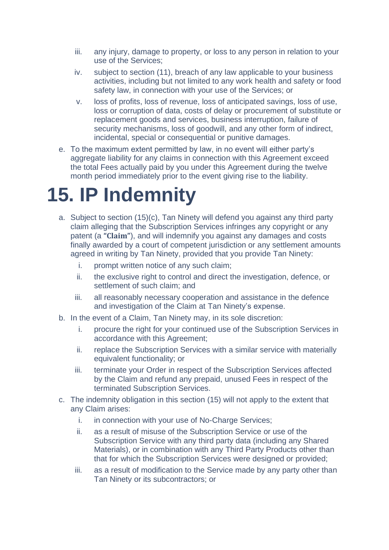- iii. any injury, damage to property, or loss to any person in relation to your use of the Services;
- iv. subject to section (11), breach of any law applicable to your business activities, including but not limited to any work health and safety or food safety law, in connection with your use of the Services; or
- v. loss of profits, loss of revenue, loss of anticipated savings, loss of use, loss or corruption of data, costs of delay or procurement of substitute or replacement goods and services, business interruption, failure of security mechanisms, loss of goodwill, and any other form of indirect, incidental, special or consequential or punitive damages.
- e. To the maximum extent permitted by law, in no event will either party's aggregate liability for any claims in connection with this Agreement exceed the total Fees actually paid by you under this Agreement during the twelve month period immediately prior to the event giving rise to the liability.

# **15. IP Indemnity**

- a. Subject to section (15)(c), Tan Ninety will defend you against any third party claim alleging that the Subscription Services infringes any copyright or any patent (a **"Claim"**), and will indemnify you against any damages and costs finally awarded by a court of competent jurisdiction or any settlement amounts agreed in writing by Tan Ninety, provided that you provide Tan Ninety:
	- i. prompt written notice of any such claim;
	- ii. the exclusive right to control and direct the investigation, defence, or settlement of such claim; and
	- iii. all reasonably necessary cooperation and assistance in the defence and investigation of the Claim at Tan Ninety's expense.
- b. In the event of a Claim, Tan Ninety may, in its sole discretion:
	- i. procure the right for your continued use of the Subscription Services in accordance with this Agreement;
	- ii. replace the Subscription Services with a similar service with materially equivalent functionality; or
	- iii. terminate your Order in respect of the Subscription Services affected by the Claim and refund any prepaid, unused Fees in respect of the terminated Subscription Services.
- c. The indemnity obligation in this section (15) will not apply to the extent that any Claim arises:
	- i. in connection with your use of No-Charge Services;
	- ii. as a result of misuse of the Subscription Service or use of the Subscription Service with any third party data (including any Shared Materials), or in combination with any Third Party Products other than that for which the Subscription Services were designed or provided;
	- iii. as a result of modification to the Service made by any party other than Tan Ninety or its subcontractors; or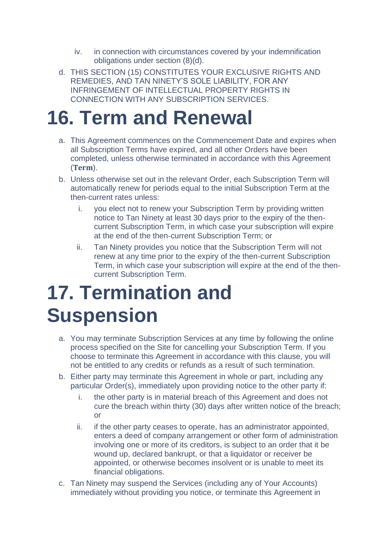- iv. in connection with circumstances covered by your indemnification obligations under section (8)(d).
- d. THIS SECTION (15) CONSTITUTES YOUR EXCLUSIVE RIGHTS AND REMEDIES, AND TAN NINETY'S SOLE LIABILITY, FOR ANY INFRINGEMENT OF INTELLECTUAL PROPERTY RIGHTS IN CONNECTION WITH ANY SUBSCRIPTION SERVICES.

#### **16. Term and Renewal**

- a. This Agreement commences on the Commencement Date and expires when all Subscription Terms have expired, and all other Orders have been completed, unless otherwise terminated in accordance with this Agreement (**Term**).
- b. Unless otherwise set out in the relevant Order, each Subscription Term will automatically renew for periods equal to the initial Subscription Term at the then-current rates unless:
	- i. you elect not to renew your Subscription Term by providing written notice to Tan Ninety at least 30 days prior to the expiry of the thencurrent Subscription Term, in which case your subscription will expire at the end of the then-current Subscription Term; or
	- ii. Tan Ninety provides you notice that the Subscription Term will not renew at any time prior to the expiry of the then-current Subscription Term, in which case your subscription will expire at the end of the thencurrent Subscription Term.

# **17. Termination and Suspension**

- a. You may terminate Subscription Services at any time by following the online process specified on the Site for cancelling your Subscription Term. If you choose to terminate this Agreement in accordance with this clause, you will not be entitled to any credits or refunds as a result of such termination.
- b. Either party may terminate this Agreement in whole or part, including any particular Order(s), immediately upon providing notice to the other party if:
	- i. the other party is in material breach of this Agreement and does not cure the breach within thirty (30) days after written notice of the breach; or
	- ii. if the other party ceases to operate, has an administrator appointed, enters a deed of company arrangement or other form of administration involving one or more of its creditors, is subject to an order that it be wound up, declared bankrupt, or that a liquidator or receiver be appointed, or otherwise becomes insolvent or is unable to meet its financial obligations.
- c. Tan Ninety may suspend the Services (including any of Your Accounts) immediately without providing you notice, or terminate this Agreement in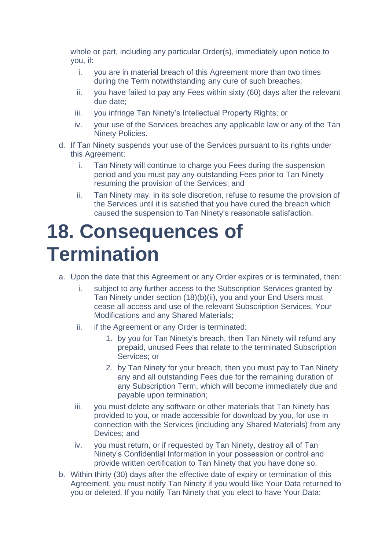whole or part, including any particular Order(s), immediately upon notice to you, if:

- i. you are in material breach of this Agreement more than two times during the Term notwithstanding any cure of such breaches;
- ii. you have failed to pay any Fees within sixty (60) days after the relevant due date;
- iii. you infringe Tan Ninety's Intellectual Property Rights; or
- iv. your use of the Services breaches any applicable law or any of the Tan Ninety Policies.
- d. If Tan Ninety suspends your use of the Services pursuant to its rights under this Agreement:
	- i. Tan Ninety will continue to charge you Fees during the suspension period and you must pay any outstanding Fees prior to Tan Ninety resuming the provision of the Services; and
	- ii. Tan Ninety may, in its sole discretion, refuse to resume the provision of the Services until it is satisfied that you have cured the breach which caused the suspension to Tan Ninety's reasonable satisfaction.

### **18. Consequences of Termination**

- a. Upon the date that this Agreement or any Order expires or is terminated, then:
	- i. subject to any further access to the Subscription Services granted by Tan Ninety under section (18)(b)(ii), you and your End Users must cease all access and use of the relevant Subscription Services, Your Modifications and any Shared Materials;
	- ii. if the Agreement or any Order is terminated:
		- 1. by you for Tan Ninety's breach, then Tan Ninety will refund any prepaid, unused Fees that relate to the terminated Subscription Services; or
		- 2. by Tan Ninety for your breach, then you must pay to Tan Ninety any and all outstanding Fees due for the remaining duration of any Subscription Term, which will become immediately due and payable upon termination;
	- iii. you must delete any software or other materials that Tan Ninety has provided to you, or made accessible for download by you, for use in connection with the Services (including any Shared Materials) from any Devices; and
	- iv. you must return, or if requested by Tan Ninety, destroy all of Tan Ninety's Confidential Information in your possession or control and provide written certification to Tan Ninety that you have done so.
- b. Within thirty (30) days after the effective date of expiry or termination of this Agreement, you must notify Tan Ninety if you would like Your Data returned to you or deleted. If you notify Tan Ninety that you elect to have Your Data: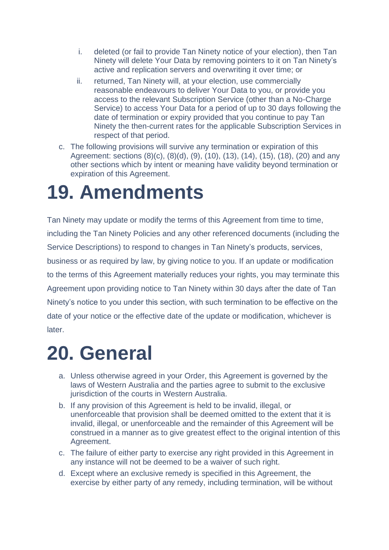- i. deleted (or fail to provide Tan Ninety notice of your election), then Tan Ninety will delete Your Data by removing pointers to it on Tan Ninety's active and replication servers and overwriting it over time; or
- ii. returned, Tan Ninety will, at your election, use commercially reasonable endeavours to deliver Your Data to you, or provide you access to the relevant Subscription Service (other than a No-Charge Service) to access Your Data for a period of up to 30 days following the date of termination or expiry provided that you continue to pay Tan Ninety the then-current rates for the applicable Subscription Services in respect of that period.
- c. The following provisions will survive any termination or expiration of this Agreement: sections (8)(c), (8)(d), (9), (10), (13), (14), (15), (18), (20) and any other sections which by intent or meaning have validity beyond termination or expiration of this Agreement.

# **19. Amendments**

Tan Ninety may update or modify the terms of this Agreement from time to time, including the Tan Ninety Policies and any other referenced documents (including the Service Descriptions) to respond to changes in Tan Ninety's products, services, business or as required by law, by giving notice to you. If an update or modification to the terms of this Agreement materially reduces your rights, you may terminate this Agreement upon providing notice to Tan Ninety within 30 days after the date of Tan Ninety's notice to you under this section, with such termination to be effective on the date of your notice or the effective date of the update or modification, whichever is later.

### **20. General**

- a. Unless otherwise agreed in your Order, this Agreement is governed by the laws of Western Australia and the parties agree to submit to the exclusive jurisdiction of the courts in Western Australia.
- b. If any provision of this Agreement is held to be invalid, illegal, or unenforceable that provision shall be deemed omitted to the extent that it is invalid, illegal, or unenforceable and the remainder of this Agreement will be construed in a manner as to give greatest effect to the original intention of this Agreement.
- c. The failure of either party to exercise any right provided in this Agreement in any instance will not be deemed to be a waiver of such right.
- d. Except where an exclusive remedy is specified in this Agreement, the exercise by either party of any remedy, including termination, will be without